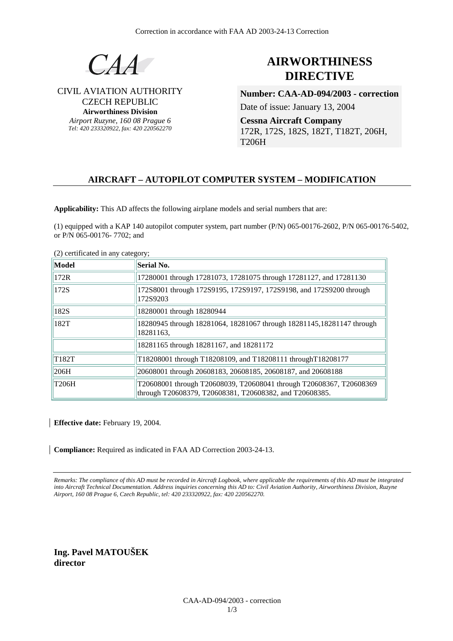

## CIVIL AVIATION AUTHORITY CZECH REPUBLIC **Airworthiness Division**

*Airport Ruzyne, 160 08 Prague 6 Tel: 420 233320922, fax: 420 220562270*

# **AIRWORTHINESS DIRECTIVE**

**Number: CAA-AD-094/2003 - correction**

Date of issue: January 13, 2004

**Cessna Aircraft Company**  172R, 172S, 182S, 182T, T182T, 206H, T206H

## **AIRCRAFT – AUTOPILOT COMPUTER SYSTEM – MODIFICATION**

**Applicability:** This AD affects the following airplane models and serial numbers that are:

(1) equipped with a KAP 140 autopilot computer system, part number (P/N) 065-00176-2602, P/N 065-00176-5402, or P/N 065-00176- 7702; and

(2) certificated in any category;

| Model | Serial No.                                                                                                                     |
|-------|--------------------------------------------------------------------------------------------------------------------------------|
| 172R  | 17280001 through 17281073, 17281075 through 17281127, and 17281130                                                             |
| 172S  | 172S8001 through 172S9195, 172S9197, 172S9198, and 172S9200 through<br>172S9203                                                |
| 182S  | 18280001 through 18280944                                                                                                      |
| 182T  | 18280945 through 18281064, 18281067 through 18281145, 18281147 through<br>18281163,                                            |
|       | 18281165 through 18281167, and 18281172                                                                                        |
| T182T | T18208001 through T18208109, and T18208111 through T18208177                                                                   |
| 206H  | 20608001 through 20608183, 20608185, 20608187, and 20608188                                                                    |
| T206H | T20608001 through T20608039, T20608041 through T20608367, T20608369<br>through T20608379, T20608381, T20608382, and T20608385. |

**Effective date:** February 19, 2004.

**Compliance:** Required as indicated in FAA AD Correction 2003-24-13.

*Remarks: The compliance of this AD must be recorded in Aircraft Logbook, where applicable the requirements of this AD must be integrated into Aircraft Technical Documentation. Address inquiries concerning this AD to: Civil Aviation Authority, Airworthiness Division, Ruzyne Airport, 160 08 Prague 6, Czech Republic, tel: 420 233320922, fax: 420 220562270.* 

**Ing. Pavel MATOUŠEK director**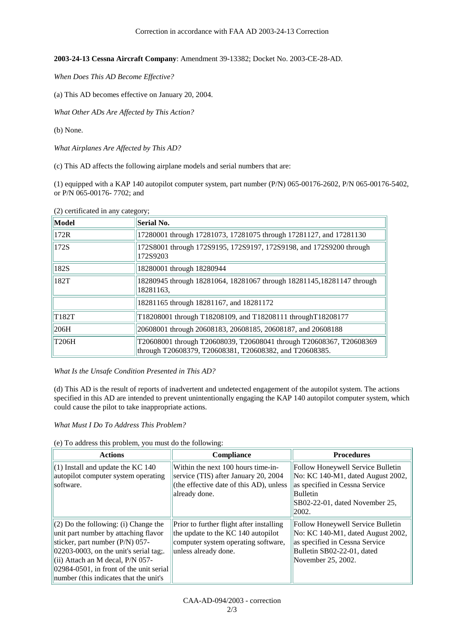**2003-24-13 Cessna Aircraft Company**: Amendment 39-13382; Docket No. 2003-CE-28-AD.

*When Does This AD Become Effective?*

(a) This AD becomes effective on January 20, 2004.

*What Other ADs Are Affected by This Action?* 

(b) None.

*What Airplanes Are Affected by This AD?*

(c) This AD affects the following airplane models and serial numbers that are:

(1) equipped with a KAP 140 autopilot computer system, part number (P/N) 065-00176-2602, P/N 065-00176-5402, or P/N 065-00176- 7702; and

| Model | Serial No.                                                                                                                     |
|-------|--------------------------------------------------------------------------------------------------------------------------------|
| 172R  | 17280001 through 17281073, 17281075 through 17281127, and 17281130                                                             |
| 172S  | 172S8001 through 172S9195, 172S9197, 172S9198, and 172S9200 through<br>172S9203                                                |
| 182S  | 18280001 through 18280944                                                                                                      |
| 182T  | 18280945 through 18281064, 18281067 through 18281145, 18281147 through<br>18281163,                                            |
|       | 18281165 through 18281167, and 18281172                                                                                        |
| T182T | T18208001 through T18208109, and T18208111 through T18208177                                                                   |
| 206H  | 20608001 through 20608183, 20608185, 20608187, and 20608188                                                                    |
| T206H | T20608001 through T20608039, T20608041 through T20608367, T20608369<br>through T20608379, T20608381, T20608382, and T20608385. |

(2) certificated in any category;

*What Is the Unsafe Condition Presented in This AD?* 

(d) This AD is the result of reports of inadvertent and undetected engagement of the autopilot system. The actions specified in this AD are intended to prevent unintentionally engaging the KAP 140 autopilot computer system, which could cause the pilot to take inappropriate actions.

*What Must I Do To Address This Problem?* 

(e) To address this problem, you must do the following:

| <b>Actions</b>                                                                                                                                                                                                                                                                                 | Compliance                                                                                                                                    | <b>Procedures</b>                                                                                                                                                             |
|------------------------------------------------------------------------------------------------------------------------------------------------------------------------------------------------------------------------------------------------------------------------------------------------|-----------------------------------------------------------------------------------------------------------------------------------------------|-------------------------------------------------------------------------------------------------------------------------------------------------------------------------------|
| $(1)$ Install and update the KC 140<br>autopilot computer system operating<br>software.                                                                                                                                                                                                        | Within the next 100 hours time-in-<br>service (TIS) after January 20, 2004<br>(the effective date of this AD), unless<br>already done.        | Follow Honeywell Service Bulletin<br>$\overline{N}$ o: KC 140-M1, dated August 2002,<br>as specified in Cessna Service<br>Bulletin<br>SB02-22-01, dated November 25,<br>2002. |
| $(2)$ Do the following: (i) Change the<br>unit part number by attaching flavor<br>sticker, part number (P/N) 057-<br>$ 02203-0003 $ , on the unit's serial tag;.<br>(ii) Attach an M decal, P/N 057-<br>$ 02984-0501 $ , in front of the unit serial<br>number (this indicates that the unit's | Prior to further flight after installing<br>the update to the KC 140 autopilot<br>computer system operating software,<br>unless already done. | Follow Honeywell Service Bulletin<br>No: KC 140-M1, dated August 2002,<br>as specified in Cessna Service<br>Bulletin SB02-22-01, dated<br>November 25, 2002.                  |